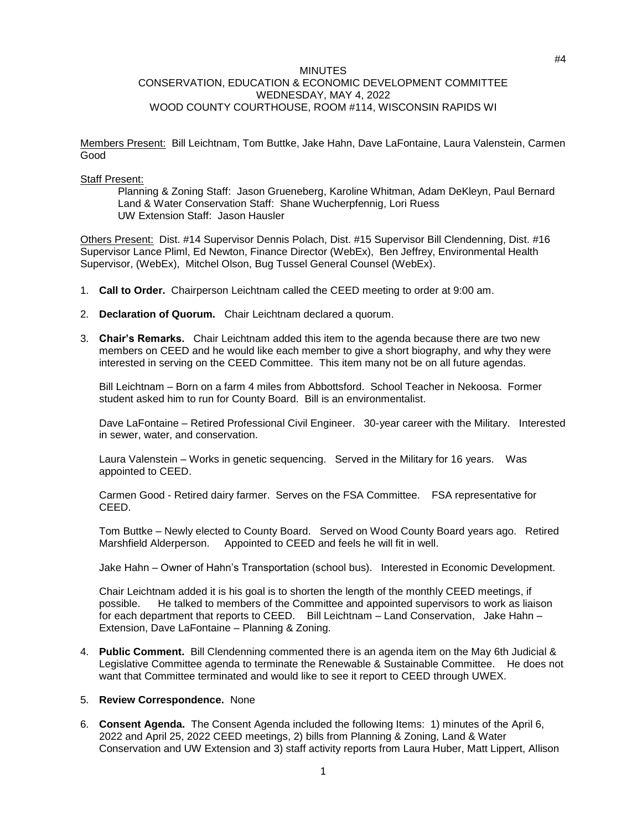## **MINUTES** CONSERVATION, EDUCATION & ECONOMIC DEVELOPMENT COMMITTEE WEDNESDAY, MAY 4, 2022 WOOD COUNTY COURTHOUSE, ROOM #114, WISCONSIN RAPIDS WI

Members Present: Bill Leichtnam, Tom Buttke, Jake Hahn, Dave LaFontaine, Laura Valenstein, Carmen Good

### Staff Present:

Planning & Zoning Staff: Jason Grueneberg, Karoline Whitman, Adam DeKleyn, Paul Bernard Land & Water Conservation Staff: Shane Wucherpfennig, Lori Ruess UW Extension Staff: Jason Hausler

Others Present: Dist. #14 Supervisor Dennis Polach, Dist. #15 Supervisor Bill Clendenning, Dist. #16 Supervisor Lance Pliml, Ed Newton, Finance Director (WebEx), Ben Jeffrey, Environmental Health Supervisor, (WebEx), Mitchel Olson, Bug Tussel General Counsel (WebEx).

- 1. **Call to Order.** Chairperson Leichtnam called the CEED meeting to order at 9:00 am.
- 2. **Declaration of Quorum.** Chair Leichtnam declared a quorum.
- 3. **Chair's Remarks.** Chair Leichtnam added this item to the agenda because there are two new members on CEED and he would like each member to give a short biography, and why they were interested in serving on the CEED Committee. This item many not be on all future agendas.

Bill Leichtnam – Born on a farm 4 miles from Abbottsford. School Teacher in Nekoosa. Former student asked him to run for County Board. Bill is an environmentalist.

Dave LaFontaine – Retired Professional Civil Engineer. 30-year career with the Military. Interested in sewer, water, and conservation.

Laura Valenstein – Works in genetic sequencing. Served in the Military for 16 years. Was appointed to CEED.

Carmen Good - Retired dairy farmer. Serves on the FSA Committee. FSA representative for CEED.

Tom Buttke – Newly elected to County Board. Served on Wood County Board years ago. Retired Marshfield Alderperson. Appointed to CEED and feels he will fit in well.

Jake Hahn – Owner of Hahn's Transportation (school bus). Interested in Economic Development.

Chair Leichtnam added it is his goal is to shorten the length of the monthly CEED meetings, if possible. He talked to members of the Committee and appointed supervisors to work as liaison for each department that reports to CEED. Bill Leichtnam – Land Conservation, Jake Hahn – Extension, Dave LaFontaine – Planning & Zoning.

4. **Public Comment.** Bill Clendenning commented there is an agenda item on the May 6th Judicial & Legislative Committee agenda to terminate the Renewable & Sustainable Committee. He does not want that Committee terminated and would like to see it report to CEED through UWEX.

### 5. **Review Correspondence.** None

6. **Consent Agenda.** The Consent Agenda included the following Items: 1) minutes of the April 6, 2022 and April 25, 2022 CEED meetings, 2) bills from Planning & Zoning, Land & Water Conservation and UW Extension and 3) staff activity reports from Laura Huber, Matt Lippert, Allison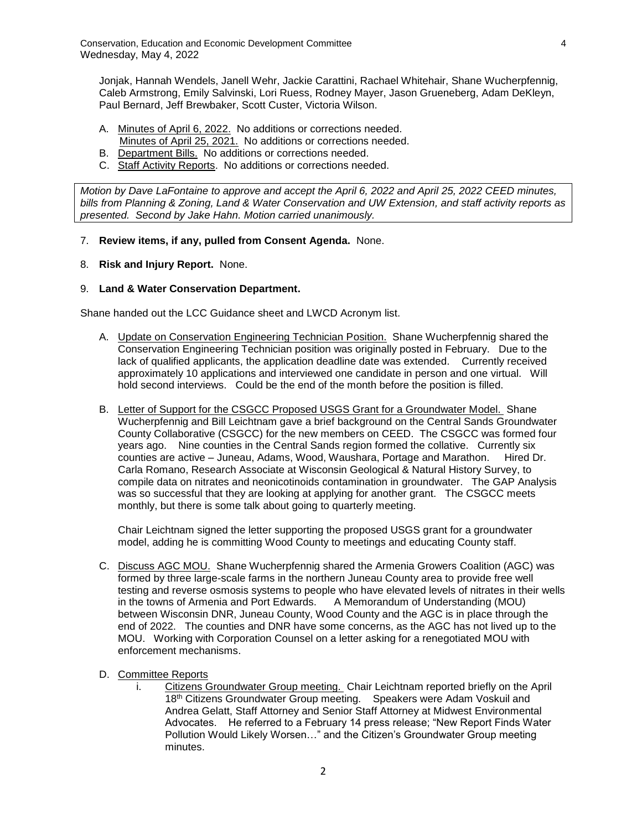Jonjak, Hannah Wendels, Janell Wehr, Jackie Carattini, Rachael Whitehair, Shane Wucherpfennig, Caleb Armstrong, Emily Salvinski, Lori Ruess, Rodney Mayer, Jason Grueneberg, Adam DeKleyn, Paul Bernard, Jeff Brewbaker, Scott Custer, Victoria Wilson.

- A. Minutes of April 6, 2022. No additions or corrections needed. Minutes of April 25, 2021. No additions or corrections needed.
- B. Department Bills. No additions or corrections needed.
- C. Staff Activity Reports. No additions or corrections needed.

*Motion by Dave LaFontaine to approve and accept the April 6, 2022 and April 25, 2022 CEED minutes, bills from Planning & Zoning, Land & Water Conservation and UW Extension, and staff activity reports as presented. Second by Jake Hahn. Motion carried unanimously.*

- 7. **Review items, if any, pulled from Consent Agenda.** None.
- 8. **Risk and Injury Report.** None.

# 9. **Land & Water Conservation Department.**

Shane handed out the LCC Guidance sheet and LWCD Acronym list.

- A. Update on Conservation Engineering Technician Position. Shane Wucherpfennig shared the Conservation Engineering Technician position was originally posted in February. Due to the lack of qualified applicants, the application deadline date was extended. Currently received approximately 10 applications and interviewed one candidate in person and one virtual. Will hold second interviews. Could be the end of the month before the position is filled.
- B. Letter of Support for the CSGCC Proposed USGS Grant for a Groundwater Model. Shane Wucherpfennig and Bill Leichtnam gave a brief background on the Central Sands Groundwater County Collaborative (CSGCC) for the new members on CEED. The CSGCC was formed four years ago. Nine counties in the Central Sands region formed the collative. Currently six counties are active – Juneau, Adams, Wood, Waushara, Portage and Marathon. Hired Dr. Carla Romano, Research Associate at Wisconsin Geological & Natural History Survey, to compile data on nitrates and neonicotinoids contamination in groundwater. The GAP Analysis was so successful that they are looking at applying for another grant. The CSGCC meets monthly, but there is some talk about going to quarterly meeting.

Chair Leichtnam signed the letter supporting the proposed USGS grant for a groundwater model, adding he is committing Wood County to meetings and educating County staff.

- C. Discuss AGC MOU. Shane Wucherpfennig shared the Armenia Growers Coalition (AGC) was formed by three large-scale farms in the northern Juneau County area to provide free well testing and reverse osmosis systems to people who have elevated levels of nitrates in their wells in the towns of Armenia and Port Edwards. A Memorandum of Understanding (MOU) between Wisconsin DNR, Juneau County, Wood County and the AGC is in place through the end of 2022. The counties and DNR have some concerns, as the AGC has not lived up to the MOU. Working with Corporation Counsel on a letter asking for a renegotiated MOU with enforcement mechanisms.
- D. Committee Reports
	- i. Citizens Groundwater Group meeting. Chair Leichtnam reported briefly on the April 18th Citizens Groundwater Group meeting. Speakers were Adam Voskuil and Andrea Gelatt, Staff Attorney and Senior Staff Attorney at Midwest Environmental Advocates. He referred to a February 14 press release; "New Report Finds Water Pollution Would Likely Worsen…" and the Citizen's Groundwater Group meeting minutes.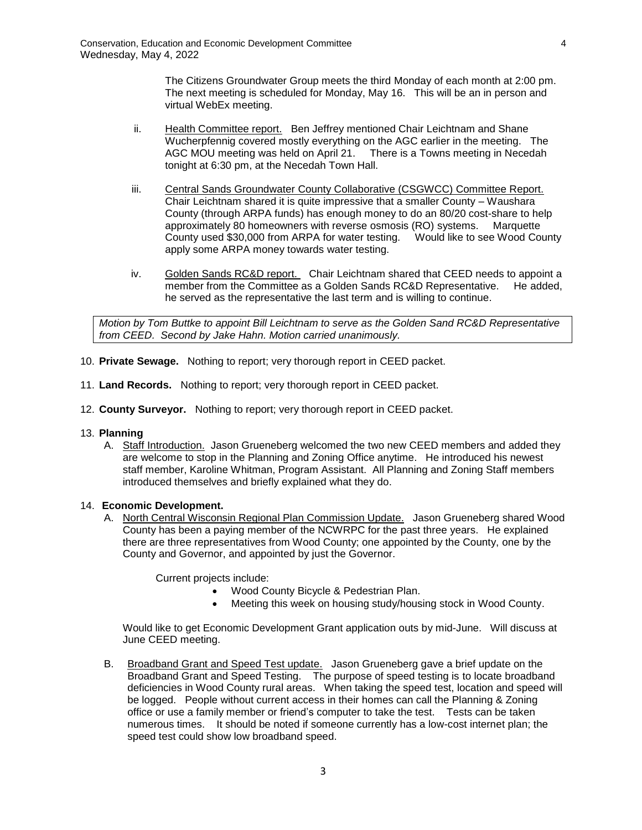The Citizens Groundwater Group meets the third Monday of each month at 2:00 pm. The next meeting is scheduled for Monday, May 16. This will be an in person and virtual WebEx meeting.

- ii. Health Committee report. Ben Jeffrey mentioned Chair Leichtnam and Shane Wucherpfennig covered mostly everything on the AGC earlier in the meeting. The AGC MOU meeting was held on April 21. There is a Towns meeting in Necedah tonight at 6:30 pm, at the Necedah Town Hall.
- iii. Central Sands Groundwater County Collaborative (CSGWCC) Committee Report. Chair Leichtnam shared it is quite impressive that a smaller County – Waushara County (through ARPA funds) has enough money to do an 80/20 cost-share to help approximately 80 homeowners with reverse osmosis (RO) systems. Marquette County used \$30,000 from ARPA for water testing. Would like to see Wood County apply some ARPA money towards water testing.
- iv. Golden Sands RC&D report. Chair Leichtnam shared that CEED needs to appoint a member from the Committee as a Golden Sands RC&D Representative. He added, he served as the representative the last term and is willing to continue.

*Motion by Tom Buttke to appoint Bill Leichtnam to serve as the Golden Sand RC&D Representative from CEED. Second by Jake Hahn. Motion carried unanimously.*

- 10. **Private Sewage.** Nothing to report; very thorough report in CEED packet.
- 11. **Land Records.** Nothing to report; very thorough report in CEED packet.
- 12. **County Surveyor.** Nothing to report; very thorough report in CEED packet.
- 13. **Planning**
	- A. Staff Introduction. Jason Grueneberg welcomed the two new CEED members and added they are welcome to stop in the Planning and Zoning Office anytime. He introduced his newest staff member, Karoline Whitman, Program Assistant. All Planning and Zoning Staff members introduced themselves and briefly explained what they do.

# 14. **Economic Development.**

A. North Central Wisconsin Regional Plan Commission Update. Jason Grueneberg shared Wood County has been a paying member of the NCWRPC for the past three years. He explained there are three representatives from Wood County; one appointed by the County, one by the County and Governor, and appointed by just the Governor.

Current projects include:

- Wood County Bicycle & Pedestrian Plan.
- Meeting this week on housing study/housing stock in Wood County.

Would like to get Economic Development Grant application outs by mid-June. Will discuss at June CEED meeting.

B. Broadband Grant and Speed Test update. Jason Grueneberg gave a brief update on the Broadband Grant and Speed Testing. The purpose of speed testing is to locate broadband deficiencies in Wood County rural areas. When taking the speed test, location and speed will be logged. People without current access in their homes can call the Planning & Zoning office or use a family member or friend's computer to take the test. Tests can be taken numerous times. It should be noted if someone currently has a low-cost internet plan; the speed test could show low broadband speed.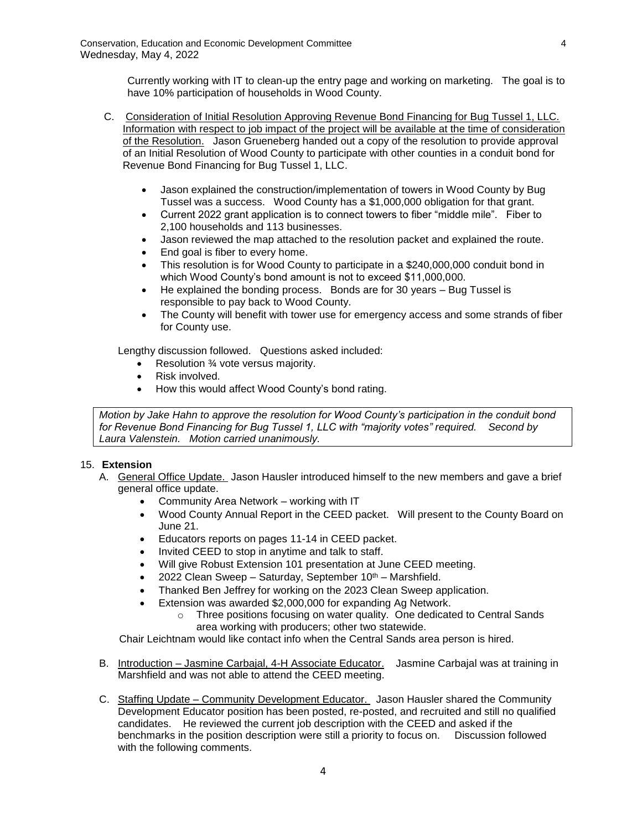Currently working with IT to clean-up the entry page and working on marketing. The goal is to have 10% participation of households in Wood County.

- C. Consideration of Initial Resolution Approving Revenue Bond Financing for Bug Tussel 1, LLC. Information with respect to job impact of the project will be available at the time of consideration of the Resolution. Jason Grueneberg handed out a copy of the resolution to provide approval of an Initial Resolution of Wood County to participate with other counties in a conduit bond for Revenue Bond Financing for Bug Tussel 1, LLC.
	- Jason explained the construction/implementation of towers in Wood County by Bug Tussel was a success. Wood County has a \$1,000,000 obligation for that grant.
	- Current 2022 grant application is to connect towers to fiber "middle mile". Fiber to 2,100 households and 113 businesses.
	- Jason reviewed the map attached to the resolution packet and explained the route.
	- End goal is fiber to every home.
	- This resolution is for Wood County to participate in a \$240,000,000 conduit bond in which Wood County's bond amount is not to exceed \$11,000,000.
	- He explained the bonding process. Bonds are for 30 years Bug Tussel is responsible to pay back to Wood County.
	- The County will benefit with tower use for emergency access and some strands of fiber for County use.

Lengthy discussion followed. Questions asked included:

- Resolution ¾ vote versus majority.
- Risk involved.
- How this would affect Wood County's bond rating.

*Motion by Jake Hahn to approve the resolution for Wood County's participation in the conduit bond for Revenue Bond Financing for Bug Tussel 1, LLC with "majority votes" required. Second by Laura Valenstein. Motion carried unanimously.*

# 15. **Extension**

- A. General Office Update. Jason Hausler introduced himself to the new members and gave a brief general office update.
	- Community Area Network working with IT
	- Wood County Annual Report in the CEED packet. Will present to the County Board on June 21.
	- Educators reports on pages 11-14 in CEED packet.
	- Invited CEED to stop in anytime and talk to staff.
	- Will give Robust Extension 101 presentation at June CEED meeting.
	- 2022 Clean Sweep Saturday, September  $10^{th}$  Marshfield.
	- Thanked Ben Jeffrey for working on the 2023 Clean Sweep application.
	- Extension was awarded \$2,000,000 for expanding Ag Network.
		- $\circ$  Three positions focusing on water quality. One dedicated to Central Sands area working with producers; other two statewide.

Chair Leichtnam would like contact info when the Central Sands area person is hired.

- B. Introduction Jasmine Carbajal, 4-H Associate Educator. Jasmine Carbajal was at training in Marshfield and was not able to attend the CEED meeting.
- C. Staffing Update Community Development Educator. Jason Hausler shared the Community Development Educator position has been posted, re-posted, and recruited and still no qualified candidates. He reviewed the current job description with the CEED and asked if the benchmarks in the position description were still a priority to focus on. Discussion followed with the following comments.